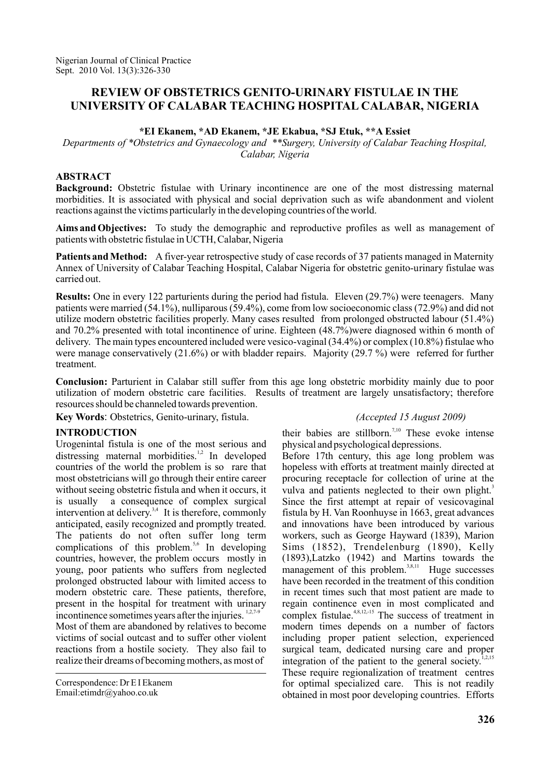# **REVIEW OF OBSTETRICS GENITO-URINARY FISTULAE IN THE UNIVERSITY OF CALABAR TEACHING HOSPITAL CALABAR, NIGERIA**

#### **\*EI Ekanem, \*AD Ekanem, \*JE Ekabua, \*SJ Etuk, \*\*A Essiet**

*Departments of \*Obstetrics and Gynaecology and \*\*Surgery, University of Calabar Teaching Hospital, Calabar, Nigeria*

## **ABSTRACT**

**Background:** Obstetric fistulae with Urinary incontinence are one of the most distressing maternal morbidities. It is associated with physical and social deprivation such as wife abandonment and violent reactions against the victims particularly in the developing countries of the world.

**Aims and Objectives:** To study the demographic and reproductive profiles as well as management of patients with obstetric fistulae in UCTH, Calabar, Nigeria

Patients and Method: A fiver-year retrospective study of case records of 37 patients managed in Maternity Annex of University of Calabar Teaching Hospital, Calabar Nigeria for obstetric genito-urinary fistulae was carried out.

Results: One in every 122 parturients during the period had fistula. Eleven (29.7%) were teenagers. Many patients were married (54.1%), nulliparous (59.4%), come from low socioeconomic class (72.9%) and did not utilize modern obstetric facilities properly. Many cases resulted from prolonged obstructed labour (51.4%) and 70.2% presented with total incontinence of urine. Eighteen (48.7%)were diagnosed within 6 month of delivery. The main types encountered included were vesico-vaginal (34.4%) or complex (10.8%) fistulae who were manage conservatively (21.6%) or with bladder repairs. Majority (29.7 %) were referred for further treatment.

**Conclusion:** Parturient in Calabar still suffer from this age long obstetric morbidity mainly due to poor utilization of modern obstetric care facilities. Results of treatment are largely unsatisfactory; therefore resources should be channeled towards prevention.

**Key Words** : Obstetrics, Genito-urinary, fistula.

### **INTRODUCTION**

Urogenintal fistula is one of the most serious and distressing maternal morbidities.<sup>1,2</sup> In developed countries of the world the problem is so rare that most obstetricians will go through their entire career without seeing obstetric fistula and when it occurs, it is usually a consequence of complex surgical intervention at delivery.<sup>3,4</sup> It is therefore, commonly anticipated, easily recognized and promptly treated. The patients do not often suffer long term complications of this problem.<sup>5,6</sup> In developing countries, however, the problem occurs mostly in young, poor patients who suffers from neglected prolonged obstructed labour with limited access to modern obstetric care. These patients, therefore, present in the hospital for treatment with urinary incontinence sometimes years after the injuries.  $1,2,7-9$ 

Most of them are abandoned by relatives to become victims of social outcast and to suffer other violent reactions from a hostile society. They also fail to realize their dreams of becoming mothers, as most of

Correspondence: Dr E I Ekanem Email:etimdr@yahoo.co.uk

*(Accepted 15 August 2009)*

their babies are stillborn.<sup>7,10</sup> These evoke intense physical and psychological depressions.

Before 17th century, this age long problem was hopeless with efforts at treatment mainly directed at procuring receptacle for collection of urine at the vulva and patients neglected to their own plight.<sup>3</sup> Since the first attempt at repair of vesicovaginal fistula by H. Van Roonhuyse in 1663, great advances and innovations have been introduced by various workers, such as George Hayward (1839), Marion Sims (1852), Trendelenburg (1890), Kelly (1893),Latzko (1942) and Martins towards the management of this problem.<sup>3,8,11</sup> Huge successes have been recorded in the treatment of this condition in recent times such that most patient are made to regain continence even in most complicated and complex fistulae.<sup>4,8,12,-15</sup> The success of treatment in modern times depends on a number of factors including proper patient selection, experienced surgical team, dedicated nursing care and proper integration of the patient to the general society.<sup>1,2,15</sup> These require regionalization of treatment centres for optimal specialized care. This is not readily obtained in most poor developing countries. Efforts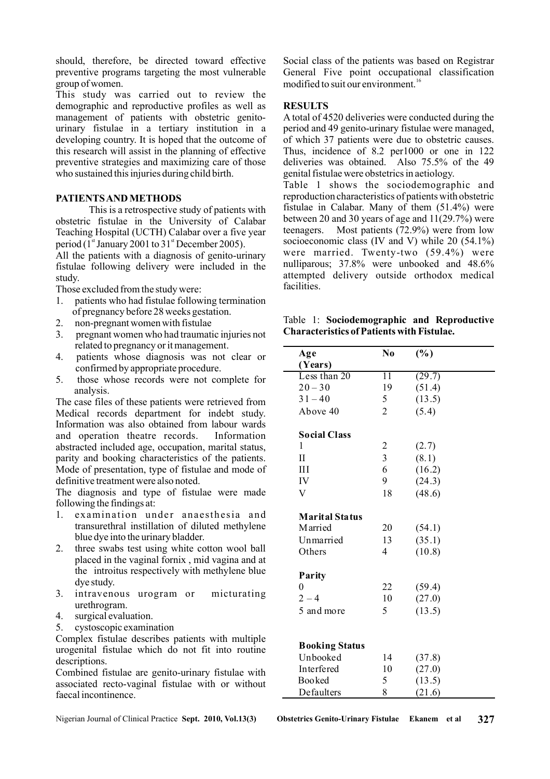should, therefore, be directed toward effective preventive programs targeting the most vulnerable group of women.

This study was carried out to review the demographic and reproductive profiles as well as management of patients with obstetric genitourinary fistulae in a tertiary institution in a developing country. It is hoped that the outcome of this research will assist in the planning of effective preventive strategies and maximizing care of those who sustained this injuries during child birth.

### **PATIENTSAND METHODS**

This is a retrospective study of patients with obstetric fistulae in the University of Calabar Teaching Hospital (UCTH) Calabar over a five year period ( $1<sup>st</sup>$  January 2001 to 31<sup>st</sup> December 2005).

All the patients with a diagnosis of genito-urinary fistulae following delivery were included in the study.

Those excluded from the study were:

- 1. patients who had fistulae following termination of pregnancy before 28 weeks gestation.
- 2. non-pregnant women with fistulae
- 3. pregnant women who had traumatic injuries not related to pregnancy or it management.
- 4. patients whose diagnosis was not clear or confirmed by appropriate procedure.
- 5. those whose records were not complete for analysis.

The case files of these patients were retrieved from Medical records department for indebt study. Information was also obtained from labour wards and operation theatre records. Information abstracted included age, occupation, marital status, parity and booking characteristics of the patients. Mode of presentation, type of fistulae and mode of definitive treatment were also noted.

The diagnosis and type of fistulae were made following the findings at:

- 1. examination under anaesthesia and transurethral instillation of diluted methylene blue dye into the urinary bladder.
- 2. three swabs test using white cotton wool ball placed in the vaginal fornix , mid vagina and at the introitus respectively with methylene blue dye study.
- 3. intravenous urogram or micturating urethrogram.
- 4. surgical evaluation.
- 5. cystoscopic examination

Complex fistulae describes patients with multiple urogenital fistulae which do not fit into routine descriptions.

Combined fistulae are genito-urinary fistulae with associated recto-vaginal fistulae with or without faecal incontinence.

Social class of the patients was based on Registrar General Five point occupational classification modified to suit our environment. 16

### **RESULTS**

A total of 4520 deliveries were conducted during the period and 49 genito-urinary fistulae were managed, of which 37 patients were due to obstetric causes. Thus, incidence of 8.2 per1000 or one in 122 deliveries was obtained. Also 75.5% of the 49 genital fistulae were obstetrics in aetiology.

Table 1 shows the sociodemographic and reproduction characteristics of patients with obstetric fistulae in Calabar. Many of them (51.4%) were between 20 and 30 years of age and  $11(29.7%)$  were teenagers. Most patients (72.9%) were from low socioeconomic class (IV and V) while 20 (54.1%) were married. Twenty-two (59.4%) were nulliparous; 37.8% were unbooked and 48.6% attempted delivery outside orthodox medical facilities.

Table 1: **Sociodemographic and Reproductive Characteristics of Patients with Fistulae.**

| Age                   | N <sub>0</sub>          | (%)    |
|-----------------------|-------------------------|--------|
| (Years)               |                         |        |
| Less than 20          | 11                      | (29.7) |
| $20 - 30$             | 19                      | (51.4) |
| $31 - 40$             | 5                       | (13.5) |
| Above 40              | $\overline{2}$          | (5.4)  |
| <b>Social Class</b>   |                         |        |
| 1                     | $\overline{c}$          | (2.7)  |
| П                     | $\overline{\mathbf{3}}$ | (8.1)  |
| III                   | 6                       | (16.2) |
| IV                    | 9                       | (24.3) |
| V                     | 18                      | (48.6) |
| <b>Marital Status</b> |                         |        |
| <b>Married</b>        | 20                      | (54.1) |
| Unmarried             | 13                      | (35.1) |
| Others                | 4                       | (10.8) |
| Parity                |                         |        |
| $\theta$              | 22                      | (59.4) |
| $2 - 4$               | 10                      | (27.0) |
| 5 and more            | 5                       | (13.5) |
|                       |                         |        |
| <b>Booking Status</b> |                         |        |
| Unbooked              | 14                      | (37.8) |
| Interfered            | 10                      | (27.0) |
| <b>Booked</b>         | 5                       | (13.5) |
| Defaulters            | 8                       | (21.6) |

Nigerian Journal of Clinical Practice **Sept. 2010, Vol.13(3) Obstetrics Genito-Urinary Fistulae Ekanem et al 327**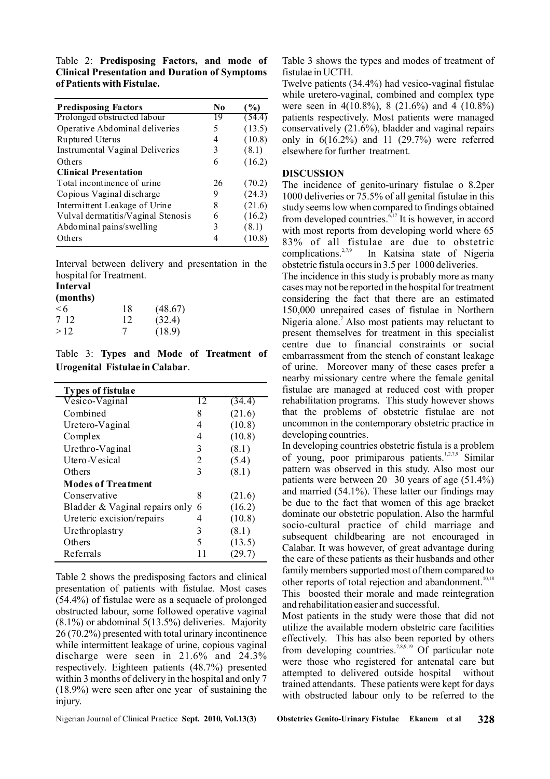Table 2: **Predisposing Factors, and mode of Clinical Presentation and Duration of Symptoms of Patients with Fistulae.**

| <b>Predisposing Factors</b>        | No | $($ %) |
|------------------------------------|----|--------|
| Prolonged obstructed labour        | 19 | (54.4) |
| Operative Abdominal deliveries     | 5  | (13.5) |
| Ruptured Uterus                    | 4  | (10.8) |
| Instrumental Vaginal Deliveries    | 3  | (8.1)  |
| Others                             | 6  | (16.2) |
| <b>Clinical Presentation</b>       |    |        |
| Total incontinence of urine        | 26 | (70.2) |
| Copious Vaginal discharge          | 9  | (24.3) |
| Intermittent Leakage of Urine      | 8  | (21.6) |
| Vulval dermatitis/Vaginal Stenosis | 6  | (16.2) |
| Abdominal pains/swelling           | 3  | (8.1)  |
| Others                             |    | 10.8)  |

Interval between delivery and presentation in the hospital for Treatment.

#### **Interval**

| (months) |    |         |
|----------|----|---------|
| $\leq 6$ | 18 | (48.67) |
| 7 12     | 12 | (32.4)  |
| >12      | 7  | (18.9)  |

Table 3: **Types and Mode of Treatment of Urogenital Fistulae in Calabar**.

| <b>Types of fistulae</b>       |    |        |
|--------------------------------|----|--------|
| Vesico-Vaginal                 | 12 | (34.4) |
| Combined                       | 8  | (21.6) |
| Uretero-Vaginal                | 4  | (10.8) |
| Complex                        | 4  | (10.8) |
| Urethro-Vaginal                | 3  | (8.1)  |
| Utero-Vesical                  | 2  | (5.4)  |
| Others                         | 3  | (8.1)  |
| <b>Modes of Treatment</b>      |    |        |
| Conservative                   | 8  | (21.6) |
| Bladder & Vaginal repairs only | 6  | (16.2) |
| Ureteric excision/repairs      | 4  | (10.8) |
| Urethroplastry                 | 3  | (8.1)  |
| Others                         | 5  | (13.5) |
| Referrals                      |    | (29.7) |

Table 2 shows the predisposing factors and clinical presentation of patients with fistulae. Most cases (54.4%) of fistulae were as a sequaele of prolonged obstructed labour, some followed operative vaginal (8.1%) or abdominal 5(13.5%) deliveries. Majority 26 (70.2%) presented with total urinary incontinence while intermittent leakage of urine, copious vaginal discharge were seen in 21.6% and 24.3% respectively. Eighteen patients (48.7%) presented within 3 months of delivery in the hospital and only 7 (18.9%) were seen after one year of sustaining the injury.

Nigerian Journal of Clinical Practice **Sept. 2010, Vol.13(3) Obstetrics Genito-Urinary Fistulae Ekanem et al 328**

Table 3 shows the types and modes of treatment of fistulae in UCTH.

Twelve patients (34.4%) had vesico-vaginal fistulae while uretero-vaginal, combined and complex type were seen in 4(10.8%), 8 (21.6%) and 4 (10.8%) patients respectively. Most patients were managed conservatively (21.6%), bladder and vaginal repairs only in  $6(16.2\%)$  and  $11(29.7\%)$  were referred elsewhere for further treatment.

#### **DISCUSSION**

The incidence of genito-urinary fistulae o 8.2per 1000 deliveries or 75.5% of all genital fistulae in this study seems low when compared to findings obtained from developed countries. $6,17$  It is however, in accord with most reports from developing world where 65 83% of all fistulae are due to obstetric In Katsina state of Nigeria obstetric fistula occurs in 3.5 per 1000 deliveries. complications. $2,7,9$ 

The incidence in this study is probably more as many cases may not be reported in the hospital for treatment considering the fact that there are an estimated 150,000 unrepaired cases of fistulae in Northern Nigeria alone.<sup>7</sup> Also most patients may reluctant to present themselves for treatment in this specialist centre due to financial constraints or social embarrassment from the stench of constant leakage of urine. Moreover many of these cases prefer a nearby missionary centre where the female genital fistulae are managed at reduced cost with proper rehabilitation programs. This study however shows that the problems of obstetric fistulae are not uncommon in the contemporary obstetric practice in developing countries.

In developing countries obstetric fistula is a problem of young, poor primiparous patients.<sup>1,2,7,9</sup> Similar pattern was observed in this study. Also most our patients were between 20 30 years of age (51.4%) and married (54.1%). These latter our findings may be due to the fact that women of this age bracket dominate our obstetric population. Also the harmful socio-cultural practice of child marriage and subsequent childbearing are not encouraged in Calabar. It was however, of great advantage during the care of these patients as their husbands and other family members supported most of them compared to other reports of total rejection and abandonment.<sup>10,18</sup> This boosted their morale and made reintegration and rehabilitation easier and successful.

Most patients in the study were those that did not utilize the available modern obstetric care facilities effectively. This has also been reported by others from developing countries.<sup>7,8,9,19</sup> Of particular note were those who registered for antenatal care but attempted to delivered outside hospital without trained attendants. These patients were kept for days with obstructed labour only to be referred to the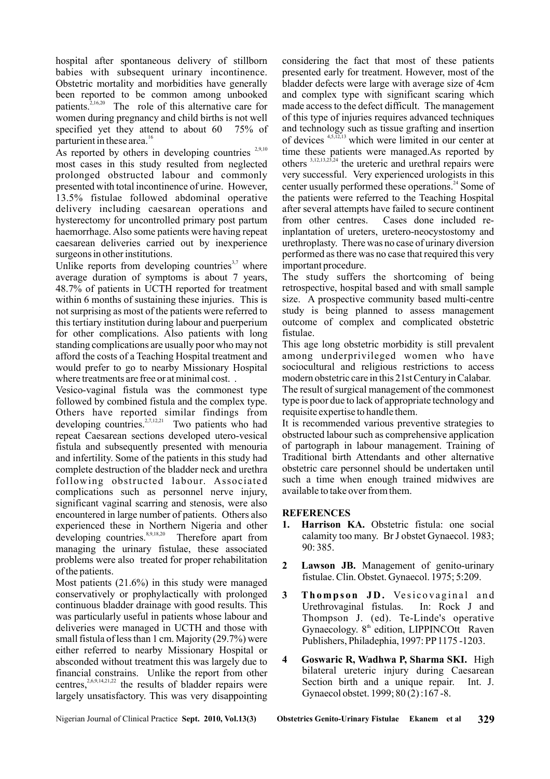hospital after spontaneous delivery of stillborn babies with subsequent urinary incontinence. Obstetric mortality and morbidities have generally been reported to be common among unbooked patients.<sup>2,16,20</sup> The role of this alternative care for women during pregnancy and child births is not well specified yet they attend to about 60 75% of parturient in these area. 16

As reported by others in developing countries  $2,9,10$ most cases in this study resulted from neglected prolonged obstructed labour and commonly presented with total incontinence of urine. However, 13.5% fistulae followed abdominal operative delivery including caesarean operations and hysterectomy for uncontrolled primary post partum haemorrhage. Also some patients were having repeat caesarean deliveries carried out by inexperience surgeons in other institutions.

Unlike reports from developing countries<sup>3,7</sup> where average duration of symptoms is about 7 years, 48.7% of patients in UCTH reported for treatment within 6 months of sustaining these injuries. This is not surprising as most of the patients were referred to this tertiary institution during labour and puerperium for other complications. Also patients with long standing complications are usually poor who may not afford the costs of a Teaching Hospital treatment and would prefer to go to nearby Missionary Hospital where treatments are free or at minimal cost. .

Vesico-vaginal fistula was the commonest type followed by combined fistula and the complex type. Others have reported similar findings from developing countries.<sup>2,7,12,21</sup> Two patients who had repeat Caesarean sections developed utero-vesical fistula and subsequently presented with menouria and infertility. Some of the patients in this study had complete destruction of the bladder neck and urethra following obstructed labour. Associated complications such as personnel nerve injury, significant vaginal scarring and stenosis, were also encountered in large number of patients. Others also experienced these in Northern Nigeria and other developing countries.  $8,9,18,20$  Therefore apart from managing the urinary fistulae, these associated problems were also treated for proper rehabilitation of the patients.

Most patients (21.6%) in this study were managed conservatively or prophylactically with prolonged continuous bladder drainage with good results. This was particularly useful in patients whose labour and deliveries were managed in UCTH and those with small fistula of less than 1 cm. Majority (29.7%) were either referred to nearby Missionary Hospital or<br>absocanced without tractment this was largely due to 4 absconded without treatment this was largely due to financial constrains. Unlike the report from other centres,  $2,6,9,14,21,22$  the results of bladder repairs were largely unsatisfactory. This was very disappointing

considering the fact that most of these patients presented early for treatment. However, most of the bladder defects were large with average size of 4cm and complex type with significant scaring which made access to the defect difficult. The management of this type of injuries requires advanced techniques and technology such as tissue grafting and insertion of devices  $4,5,12,13$  which were limited in our center at time these patients were managed.As reported by others  $3,12,13,23,24$  the ureteric and urethral repairs were very successful. Very experienced urologists in this center usually performed these operations.<sup>24</sup> Some of the patients were referred to the Teaching Hospital after several attempts have failed to secure continent from other centres. Cases done included reinplantation of ureters, uretero-neocystostomy and urethroplasty. There was no case of urinary diversion performed as there was no case that required this very important procedure.

The study suffers the shortcoming of being retrospective, hospital based and with small sample size. A prospective community based multi-centre study is being planned to assess management outcome of complex and complicated obstetric fistulae.

This age long obstetric morbidity is still prevalent among underprivileged women who have sociocultural and religious restrictions to access modern obstetric care in this 21st Century in Calabar.

The result of surgical management of the commonest type is poor due to lack of appropriate technology and requisite expertise to handle them.

It is recommended various preventive strategies to obstructed labour such as comprehensive application of partograph in labour management. Training of Traditional birth Attendants and other alternative obstetric care personnel should be undertaken until such a time when enough trained midwives are available to take over from them.

## **REFERENCES**

- 1. Harrison KA. Obstetric fistula: one social calamity too many. Br J obstet Gynaecol. 1983; 90: 385.
- 2 Lawson JB. Management of genito-urinary fistulae. Clin. Obstet. Gynaecol. 1975; 5:209.
- 3 Thompson JD. Vesicovaginal and Urethrovaginal fistulas. In: Rock J and Thompson J. (ed). Te-Linde's operative Gynaecology.  $8<sup>th</sup>$  edition, LIPPINCOtt Raven Publishers, Philadephia, 1997: PP1175-1203.
- 4 Goswaric R, Wadhwa P, Sharma SKI. High bilateral ureteric injury during Caesarean Section birth and a unique repair. Int. J. Gynaecol obstet. 1999; 80 (2) :167 -8.